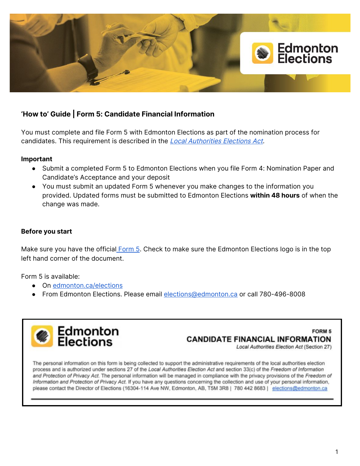

# **'How to' Guide | Form 5: Candidate Financial Information**

You must complete and file Form 5 with Edmonton Elections as part of the nomination process for candidates. This requirement is described in the Local [Authorities](https://www.qp.alberta.ca/documents/Acts/L21.pdf) Elections Act.

## **Important**

- Submit a completed Form 5 to Edmonton Elections when you file Form 4: Nomination Paper and Candidate's Acceptance and your deposit
- You must submit an updated Form 5 whenever you make changes to the information you provided. Updated forms must be submitted to Edmonton Elections **within 48 hours** of when the change was made.

## **Before you start**

Make sure you have the official [Form](https://www.edmonton.ca/city_government/documents/elections/Form_05_Candidate_Information_LGS12180.pdf) 5. Check to make sure the Edmonton Elections logo is in the top left hand corner of the document.

Form 5 is available:

- On [edmonton.ca/elections](https://www.edmonton.ca/city_government/edmonton-elections.aspx)
- From Edmonton Elections. Please email [elections@edmonton.ca](mailto:elections@edmonton.ca) or call 780-496-8008



## FORM 5 **CANDIDATE FINANCIAL INFORMATION**

Local Authorities Election Act (Section 27)

The personal information on this form is being collected to support the administrative requirements of the local authorities election process and is authorized under sections 27 of the Local Authorities Election Act and section 33(c) of the Freedom of Information and Protection of Privacy Act. The personal information will be managed in compliance with the privacy provisions of the Freedom of Information and Protection of Privacy Act. If you have any questions concerning the collection and use of your personal information, please contact the Director of Elections (16304-114 Ave NW, Edmonton, AB, T5M 3R8 | 780 442 8683 | elections@edmonton.ca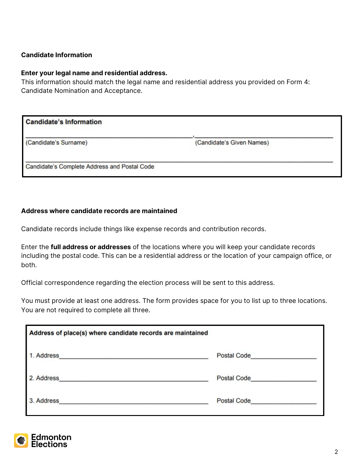## **Candidate Information**

#### **Enter your legal name and residential address.**

This information should match the legal name and residential address you provided on Form 4: Candidate Nomination and Acceptance.

| <b>Candidate's Information</b>               |                           |  |
|----------------------------------------------|---------------------------|--|
| (Candidate's Surname)                        | (Candidate's Given Names) |  |
| Candidate's Complete Address and Postal Code |                           |  |

#### **Address where candidate records are maintained**

Candidate records include things like expense records and contribution records.

Enter the **full address or addresses** of the locations where you will keep your candidate records including the postal code. This can be a residential address or the location of your campaign office, or both.

Official correspondence regarding the election process will be sent to this address.

You must provide at least one address. The form provides space for you to list up to three locations. You are not required to complete all three.

| Address of place(s) where candidate records are maintained |                                                                                                                                                                                                                                      |  |
|------------------------------------------------------------|--------------------------------------------------------------------------------------------------------------------------------------------------------------------------------------------------------------------------------------|--|
| 1. Address                                                 | Postal Code <b>Communication</b>                                                                                                                                                                                                     |  |
| 2. Address                                                 | <b>Postal Code</b>                                                                                                                                                                                                                   |  |
| 3. Address                                                 | Postal Code <b>Contract Contract Contract Contract Contract Contract Contract Contract Contract Contract Contract Contract Contract Contract Contract Contract Contract Contract Contract Contract Contract Contract Contract Co</b> |  |